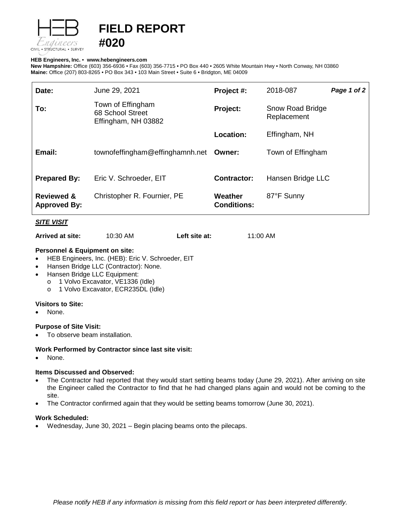

# **FIELD REPORT**

#### **HEB Engineers, Inc.** • **[www.hebengineer](http://www.hebengineers.com/)s.com**

**#020**

**New Hampshire:** Office (603) 356-6936 • Fax (603) 356-7715 • PO Box 440 • 2605 White Mountain Hwy • North Conway, NH 03860 **Maine:** Office (207) 803-8265 • PO Box 343 • 103 Main Street • Suite 6 • Bridgton, ME 04009

| Date:                                        | June 29, 2021                                                | Project #:                    | 2018-087                        | Page 1 of 2 |
|----------------------------------------------|--------------------------------------------------------------|-------------------------------|---------------------------------|-------------|
| To:                                          | Town of Effingham<br>68 School Street<br>Effingham, NH 03882 | Project:                      | Snow Road Bridge<br>Replacement |             |
|                                              |                                                              | Location:                     | Effingham, NH                   |             |
| Email:                                       | townofeffingham@effinghamnh.net Owner:                       |                               | Town of Effingham               |             |
| <b>Prepared By:</b>                          | Eric V. Schroeder, EIT                                       | <b>Contractor:</b>            | Hansen Bridge LLC               |             |
| <b>Reviewed &amp;</b><br><b>Approved By:</b> | Christopher R. Fournier, PE                                  | Weather<br><b>Conditions:</b> | 87°F Sunny                      |             |

### *SITE VISIT*

**Arrived at site:** 10:30 AM **Left site at:** 11:00 AM

#### **Personnel & Equipment on site:**

- HEB Engineers, Inc. (HEB): Eric V. Schroeder, EIT
- Hansen Bridge LLC (Contractor): None.
- Hansen Bridge LLC Equipment:
	-
	- o 1 Volvo Excavator, VE1336 (Idle)<br>o 1 Volvo Excavator, ECR235DL (Id 1 Volvo Excavator, ECR235DL (Idle)

### **Visitors to Site:**

• None.

## **Purpose of Site Visit:**

To observe beam installation.

## **Work Performed by Contractor since last site visit:**

None.

## **Items Discussed and Observed:**

- The Contractor had reported that they would start setting beams today (June 29, 2021). After arriving on site the Engineer called the Contractor to find that he had changed plans again and would not be coming to the site.
- The Contractor confirmed again that they would be setting beams tomorrow (June 30, 2021).

## **Work Scheduled:**

• Wednesday, June 30, 2021 – Begin placing beams onto the pilecaps.